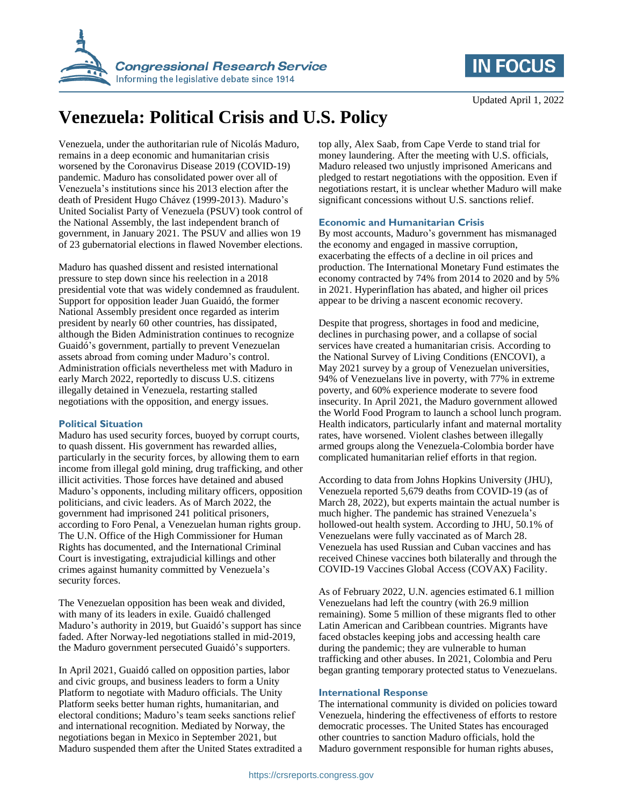



# **Venezuela: Political Crisis and U.S. Policy**

Venezuela, under the authoritarian rule of Nicolás Maduro, remains in a deep economic and humanitarian crisis worsened by the Coronavirus Disease 2019 (COVID-19) pandemic. Maduro has consolidated power over all of Venezuela's institutions since his 2013 election after the death of President Hugo Chávez (1999-2013). Maduro's United Socialist Party of Venezuela (PSUV) took control of the National Assembly, the last independent branch of government, in January 2021. The PSUV and allies won 19 of 23 gubernatorial elections in flawed November elections.

Maduro has quashed dissent and resisted international pressure to step down since his reelection in a 2018 presidential vote that was widely condemned as fraudulent. Support for opposition leader Juan Guaidó, the former National Assembly president once regarded as interim president by nearly 60 other countries, has dissipated, although the Biden Administration continues to recognize Guaidó's government, partially to prevent Venezuelan assets abroad from coming under Maduro's control. Administration officials nevertheless met with Maduro in early March 2022, reportedly to discuss U.S. citizens illegally detained in Venezuela, restarting stalled negotiations with the opposition, and energy issues.

#### **Political Situation**

Maduro has used security forces, buoyed by corrupt courts, to quash dissent. His government has rewarded allies, particularly in the security forces, by allowing them to earn income from illegal gold mining, drug trafficking, and other illicit activities. Those forces have detained and abused Maduro's opponents, including military officers, opposition politicians, and civic leaders. As of March 2022, the government had imprisoned 241 political prisoners, according to Foro Penal, a Venezuelan human rights group. The U.N. Office of the High Commissioner for Human Rights has documented, and the International Criminal Court is investigating, extrajudicial killings and other crimes against humanity committed by Venezuela's security forces.

The Venezuelan opposition has been weak and divided, with many of its leaders in exile. Guaidó challenged Maduro's authority in 2019, but Guaidó's support has since faded. After Norway-led negotiations stalled in mid-2019, the Maduro government persecuted Guaidó's supporters.

In April 2021, Guaidó called on opposition parties, labor and civic groups, and business leaders to form a Unity Platform to negotiate with Maduro officials. The Unity Platform seeks better human rights, humanitarian, and electoral conditions; Maduro's team seeks sanctions relief and international recognition. Mediated by Norway, the negotiations began in Mexico in September 2021, but Maduro suspended them after the United States extradited a top ally, Alex Saab, from Cape Verde to stand trial for money laundering. After the meeting with U.S. officials, Maduro released two unjustly imprisoned Americans and pledged to restart negotiations with the opposition. Even if negotiations restart, it is unclear whether Maduro will make significant concessions without U.S. sanctions relief.

### **Economic and Humanitarian Crisis**

By most accounts, Maduro's government has mismanaged the economy and engaged in massive corruption, exacerbating the effects of a decline in oil prices and production. The International Monetary Fund estimates the economy contracted by 74% from 2014 to 2020 and by 5% in 2021. Hyperinflation has abated, and higher oil prices appear to be driving a nascent economic recovery.

Despite that progress, shortages in food and medicine, declines in purchasing power, and a collapse of social services have created a humanitarian crisis. According to the National Survey of Living Conditions (ENCOVI), a May 2021 survey by a group of Venezuelan universities, 94% of Venezuelans live in poverty, with 77% in extreme poverty, and 60% experience moderate to severe food insecurity. In April 2021, the Maduro government allowed the World Food Program to launch a school lunch program. Health indicators, particularly infant and maternal mortality rates, have worsened. Violent clashes between illegally armed groups along the Venezuela-Colombia border have complicated humanitarian relief efforts in that region.

According to data from Johns Hopkins University (JHU), Venezuela reported 5,679 deaths from COVID-19 (as of March 28, 2022), but experts maintain the actual number is much higher. The pandemic has strained Venezuela's hollowed-out health system. According to JHU, 50.1% of Venezuelans were fully vaccinated as of March 28. Venezuela has used Russian and Cuban vaccines and has received Chinese vaccines both bilaterally and through the COVID-19 Vaccines Global Access (COVAX) Facility.

As of February 2022, U.N. agencies estimated 6.1 million Venezuelans had left the country (with 26.9 million remaining). Some 5 million of these migrants fled to other Latin American and Caribbean countries. Migrants have faced obstacles keeping jobs and accessing health care during the pandemic; they are vulnerable to human trafficking and other abuses. In 2021, Colombia and Peru began granting temporary protected status to Venezuelans.

#### **International Response**

The international community is divided on policies toward Venezuela, hindering the effectiveness of efforts to restore democratic processes. The United States has encouraged other countries to sanction Maduro officials, hold the Maduro government responsible for human rights abuses,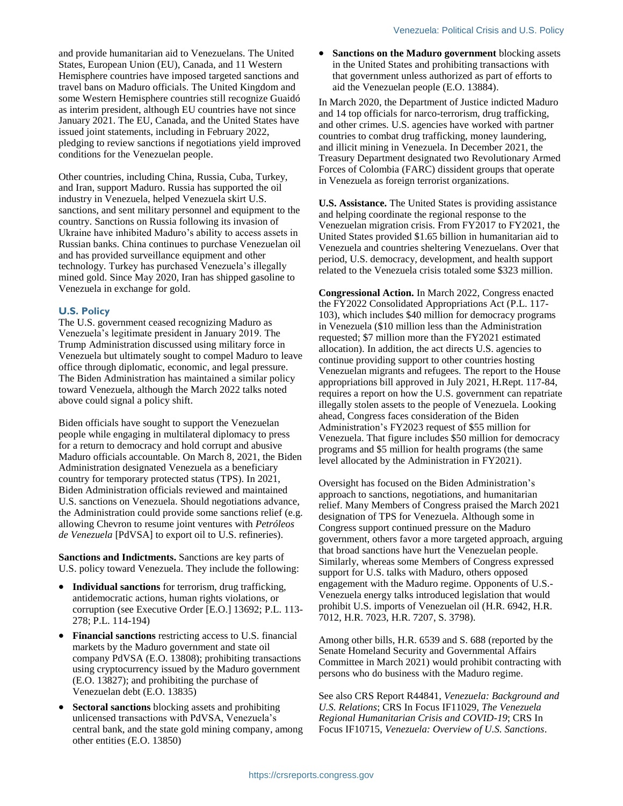and provide humanitarian aid to Venezuelans. The United States, European Union (EU), Canada, and 11 Western Hemisphere countries have imposed targeted sanctions and travel bans on Maduro officials. The United Kingdom and some Western Hemisphere countries still recognize Guaidó as interim president, although EU countries have not since January 2021. The EU, Canada, and the United States have issued joint statements, including in February 2022, pledging to review sanctions if negotiations yield improved conditions for the Venezuelan people.

Other countries, including China, Russia, Cuba, Turkey, and Iran, support Maduro. Russia has supported the oil industry in Venezuela, helped Venezuela skirt U.S. sanctions, and sent military personnel and equipment to the country. Sanctions on Russia following its invasion of Ukraine have inhibited Maduro's ability to access assets in Russian banks. China continues to purchase Venezuelan oil and has provided surveillance equipment and other technology. Turkey has purchased Venezuela's illegally mined gold. Since May 2020, Iran has shipped gasoline to Venezuela in exchange for gold.

#### **U.S. Policy**

The U.S. government ceased recognizing Maduro as Venezuela's legitimate president in January 2019. The Trump Administration discussed using military force in Venezuela but ultimately sought to compel Maduro to leave office through diplomatic, economic, and legal pressure. The Biden Administration has maintained a similar policy toward Venezuela, although the March 2022 talks noted above could signal a policy shift.

Biden officials have sought to support the Venezuelan people while engaging in multilateral diplomacy to press for a return to democracy and hold corrupt and abusive Maduro officials accountable. On March 8, 2021, the Biden Administration designated Venezuela as a beneficiary country for temporary protected status (TPS). In 2021, Biden Administration officials reviewed and maintained U.S. sanctions on Venezuela. Should negotiations advance, the Administration could provide some sanctions relief (e.g. allowing Chevron to resume joint ventures with *Petróleos de Venezuela* [PdVSA] to export oil to U.S. refineries).

**Sanctions and Indictments.** Sanctions are key parts of U.S. policy toward Venezuela. They include the following:

- **Individual sanctions** for terrorism, drug trafficking, antidemocratic actions, human rights violations, or corruption (see Executive Order [E.O.] 13692; P.L. 113- 278; P.L. 114-194)
- **Financial sanctions** restricting access to U.S. financial markets by the Maduro government and state oil company PdVSA (E.O. 13808); prohibiting transactions using cryptocurrency issued by the Maduro government (E.O. 13827); and prohibiting the purchase of Venezuelan debt (E.O. 13835)
- **Sectoral sanctions** blocking assets and prohibiting unlicensed transactions with PdVSA, Venezuela's central bank, and the state gold mining company, among other entities (E.O. 13850)

 **Sanctions on the Maduro government** blocking assets in the United States and prohibiting transactions with that government unless authorized as part of efforts to aid the Venezuelan people (E.O. 13884).

In March 2020, the Department of Justice indicted Maduro and 14 top officials for narco-terrorism, drug trafficking, and other crimes. U.S. agencies have worked with partner countries to combat drug trafficking, money laundering, and illicit mining in Venezuela. In December 2021, the Treasury Department designated two Revolutionary Armed Forces of Colombia (FARC) dissident groups that operate in Venezuela as foreign terrorist organizations.

**U.S. Assistance.** The United States is providing assistance and helping coordinate the regional response to the Venezuelan migration crisis. From FY2017 to FY2021, the United States provided \$1.65 billion in humanitarian aid to Venezuela and countries sheltering Venezuelans. Over that period, U.S. democracy, development, and health support related to the Venezuela crisis totaled some \$323 million.

**Congressional Action.** In March 2022, Congress enacted the FY2022 Consolidated Appropriations Act (P.L. 117- 103), which includes \$40 million for democracy programs in Venezuela (\$10 million less than the Administration requested; \$7 million more than the FY2021 estimated allocation). In addition, the act directs U.S. agencies to continue providing support to other countries hosting Venezuelan migrants and refugees. The report to the House appropriations bill approved in July 2021, H.Rept. 117-84, requires a report on how the U.S. government can repatriate illegally stolen assets to the people of Venezuela. Looking ahead, Congress faces consideration of the Biden Administration's FY2023 request of \$55 million for Venezuela. That figure includes \$50 million for democracy programs and \$5 million for health programs (the same level allocated by the Administration in FY2021).

Oversight has focused on the Biden Administration's approach to sanctions, negotiations, and humanitarian relief. Many Members of Congress praised the March 2021 designation of TPS for Venezuela. Although some in Congress support continued pressure on the Maduro government, others favor a more targeted approach, arguing that broad sanctions have hurt the Venezuelan people. Similarly, whereas some Members of Congress expressed support for U.S. talks with Maduro, others opposed engagement with the Maduro regime. Opponents of U.S.- Venezuela energy talks introduced legislation that would prohibit U.S. imports of Venezuelan oil (H.R. 6942, H.R. 7012, H.R. 7023, H.R. 7207, S. 3798).

Among other bills, H.R. 6539 and S. 688 (reported by the Senate Homeland Security and Governmental Affairs Committee in March 2021) would prohibit contracting with persons who do business with the Maduro regime.

See also CRS Report R44841, *Venezuela: Background and U.S. Relations*; CRS In Focus IF11029, *The Venezuela Regional Humanitarian Crisis and COVID-19*; CRS In Focus IF10715, *Venezuela: Overview of U.S. Sanctions*.